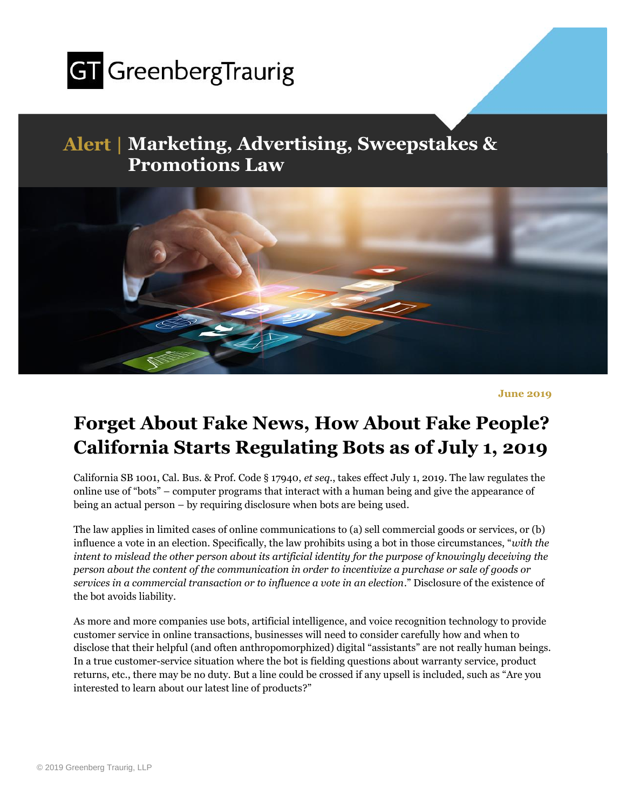

## **Alert | Marketing, Advertising, Sweepstakes & Promotions Law**



**June 2019**

## **Forget About Fake News, How About Fake People? California Starts Regulating Bots as of July 1, 2019**

California SB 1001, Cal. Bus. & Prof. Code § 17940, *et seq*., takes effect July 1, 2019. The law regulates the online use of "bots" – computer programs that interact with a human being and give the appearance of being an actual person – by requiring disclosure when bots are being used.

The law applies in limited cases of online communications to (a) sell commercial goods or services, or (b) influence a vote in an election. Specifically, the law prohibits using a bot in those circumstances, "*with the intent to mislead the other person about its artificial identity for the purpose of knowingly deceiving the person about the content of the communication in order to incentivize a purchase or sale of goods or services in a commercial transaction or to influence a vote in an election*." Disclosure of the existence of the bot avoids liability.

As more and more companies use bots, artificial intelligence, and voice recognition technology to provide customer service in online transactions, businesses will need to consider carefully how and when to disclose that their helpful (and often anthropomorphized) digital "assistants" are not really human beings. In a true customer-service situation where the bot is fielding questions about warranty service, product returns, etc., there may be no duty. But a line could be crossed if any upsell is included, such as "Are you interested to learn about our latest line of products?"